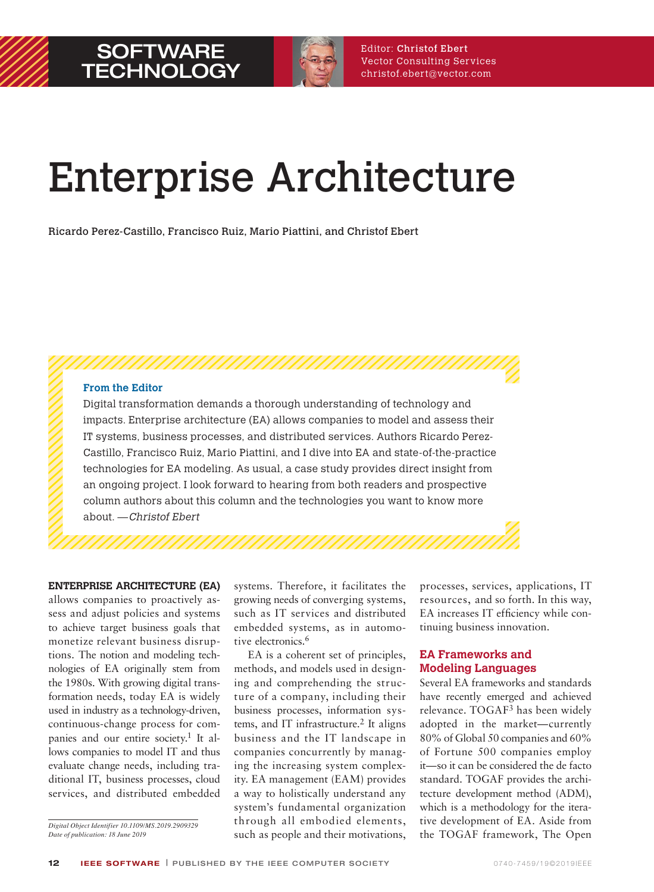

# Enterprise Architecture

Ricardo Perez-Castillo, Francisco Ruiz, Mario Piattini, and Christof Ebert

**From the Editor**

Digital transformation demands a thorough understanding of technology and impacts. Enterprise architecture (EA) allows companies to model and assess their IT systems, business processes, and distributed services. Authors Ricardo Perez-Castillo, Francisco Ruiz, Mario Piattini, and I dive into EA and state-of-the-practice technologies for EA modeling. As usual, a case study provides direct insight from an ongoing project. I look forward to hearing from both readers and prospective column authors about this column and the technologies you want to know more about. —Christof Ebert

#### **ENTERPRISE ARCHITECTURE (EA)**

allows companies to proactively assess and adjust policies and systems to achieve target business goals that monetize relevant business disruptions. The notion and modeling technologies of EA originally stem from the 1980s. With growing digital transformation needs, today EA is widely used in industry as a technology-driven, continuous-change process for companies and our entire society.1 It allows companies to model IT and thus evaluate change needs, including traditional IT, business processes, cloud services, and distributed embedded

*Digital Object Identifier 10.1109/MS.2019.2909329 Date of publication: 18 June 2019*

systems. Therefore, it facilitates the growing needs of converging systems, such as IT services and distributed embedded systems, as in automotive electronics.<sup>6</sup>

EA is a coherent set of principles, methods, and models used in designing and comprehending the structure of a company, including their business processes, information systems, and IT infrastructure.<sup>2</sup> It aligns business and the IT landscape in companies concurrently by managing the increasing system complexity. EA management (EAM) provides a way to holistically understand any system's fundamental organization through all embodied elements, such as people and their motivations, processes, services, applications, IT re sources, and so forth. In this way, EA increases IT efficiency while continuing business innovation.

#### **EA Frameworks and Modeling Languages**

Several EA frameworks and standards have recently emerged and achieved relevance. TOGAF3 has been widely adopted in the market—currently 80% of Global 50 companies and 60% of Fortune 500 companies employ it—so it can be considered the de facto standard. TOGAF provides the architecture development method (ADM), which is a methodology for the iterative development of EA. Aside from the TOGAF framework, The Open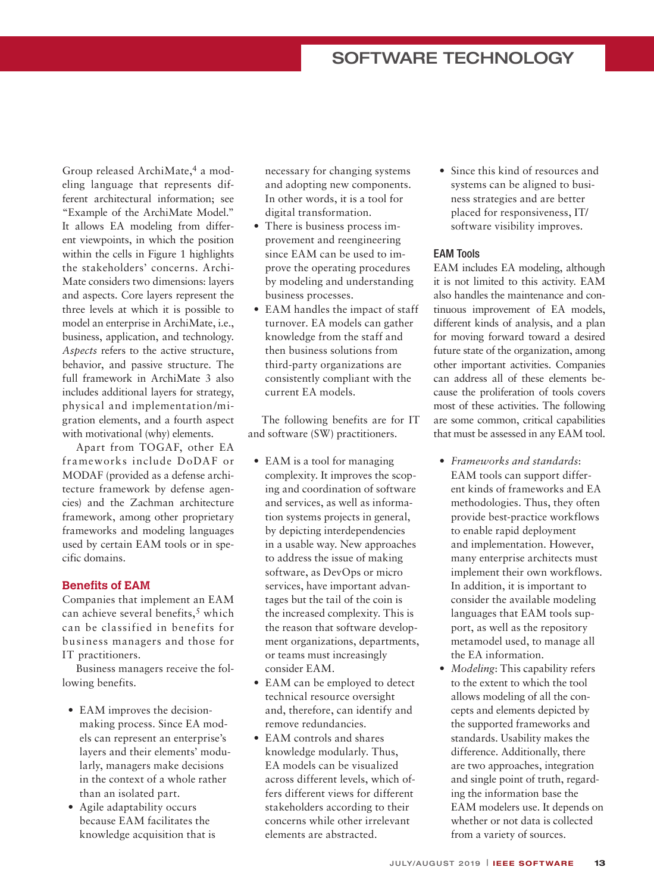# SOFTWARE TECHNOLOGY

Group released ArchiMate,<sup>4</sup> a modeling language that represents different architectural information; see "Example of the ArchiMate Model." It allows EA modeling from different viewpoints, in which the position within the cells in Figure 1 highlights the stakeholders' concerns. Archi-Mate considers two dimensions: layers and aspects. Core layers represent the three levels at which it is possible to model an enterprise in ArchiMate, i.e., business, application, and technology. *Aspects* refers to the active structure, behavior, and passive structure. The full framework in ArchiMate 3 also includes additional layers for strategy, physical and implementation/migration elements, and a fourth aspect with motivational (why) elements.

Apart from TOGAF, other EA frameworks include DoDAF or MODAF (provided as a defense architecture framework by defense agencies) and the Zachman architecture framework, among other proprietary frameworks and modeling languages used by certain EAM tools or in specific domains.

#### **Benefits of EAM**

Companies that implement an EAM can achieve several benefits,<sup>5</sup> which can be classified in benefits for business managers and those for IT practitioners.

Business managers receive the following benefits.

- EAM improves the decisionmaking process. Since EA models can represent an enterprise's layers and their elements' modularly, managers make decisions in the context of a whole rather than an isolated part.
- Agile adaptability occurs because EAM facilitates the knowledge acquisition that is

necessary for changing systems and adopting new components. In other words, it is a tool for digital transformation.

- There is business process improvement and reengineering since EAM can be used to improve the operating procedures by modeling and understanding business processes.
- EAM handles the impact of staff turnover. EA models can gather knowledge from the staff and then business solutions from third-party organizations are consistently compliant with the current EA models.

The following benefits are for IT and software (SW) practitioners.

- EAM is a tool for managing complexity. It improves the scoping and coordination of software and services, as well as information systems projects in general, by depicting interdependencies in a usable way. New approaches to address the issue of making software, as DevOps or micro services, have important advantages but the tail of the coin is the increased complexity. This is the reason that software development organizations, departments, or teams must increasingly consider EAM.
- EAM can be employed to detect technical resource oversight and, therefore, can identify and remove redundancies.
- EAM controls and shares knowledge modularly. Thus, EA models can be visualized across different levels, which offers different views for different stakeholders according to their concerns while other irrelevant elements are abstracted.

• Since this kind of resources and systems can be aligned to business strategies and are better placed for responsiveness, IT/ software visibility improves.

#### EAM Tools

EAM includes EA modeling, although it is not limited to this activity. EAM also handles the maintenance and continuous improvement of EA models, different kinds of analysis, and a plan for moving forward toward a desired future state of the organization, among other important activities. Companies can address all of these elements because the proliferation of tools covers most of these activities. The following are some common, critical capabilities that must be assessed in any EAM tool.

- *Frameworks and standards*: EAM tools can support different kinds of frameworks and EA methodologies. Thus, they often provide best-practice workflows to enable rapid deployment and implementation. However, many enterprise architects must implement their own workflows. In addition, it is important to consider the available modeling languages that EAM tools support, as well as the repository metamodel used, to manage all the EA information.
- *Modeling*: This capability refers to the extent to which the tool allows modeling of all the concepts and elements depicted by the supported frameworks and standards. Usability makes the difference. Additionally, there are two approaches, integration and single point of truth, regarding the information base the EAM modelers use. It depends on whether or not data is collected from a variety of sources.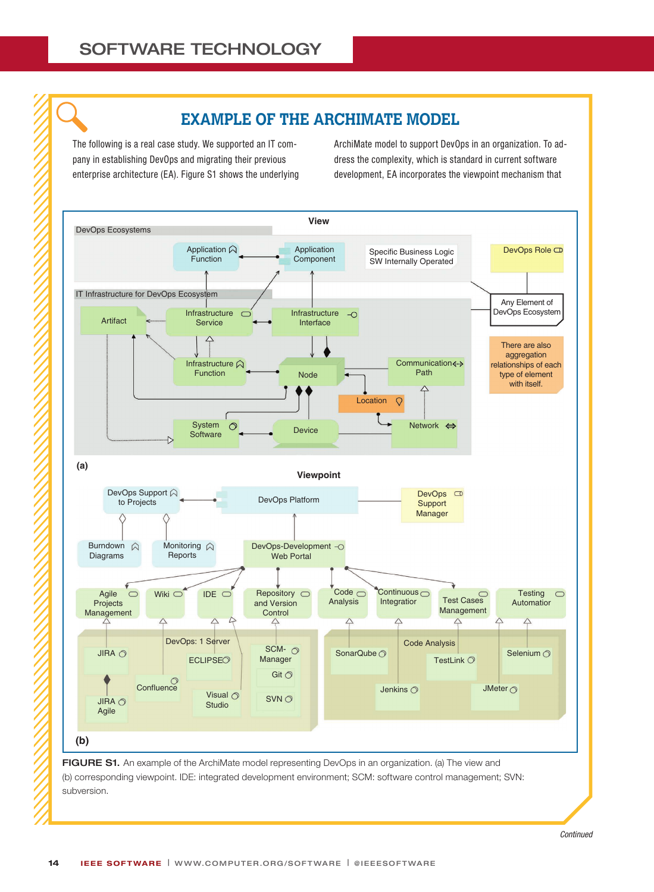# **EXAMPLE OF THE ARCHIMATE MODEL**

The following is a real case study. We supported an IT company in establishing DevOps and migrating their previous enterprise architecture (EA). Figure S1 shows the underlying ArchiMate model to support DevOps in an organization. To address the complexity, which is standard in current software development, EA incorporates the viewpoint mechanism that

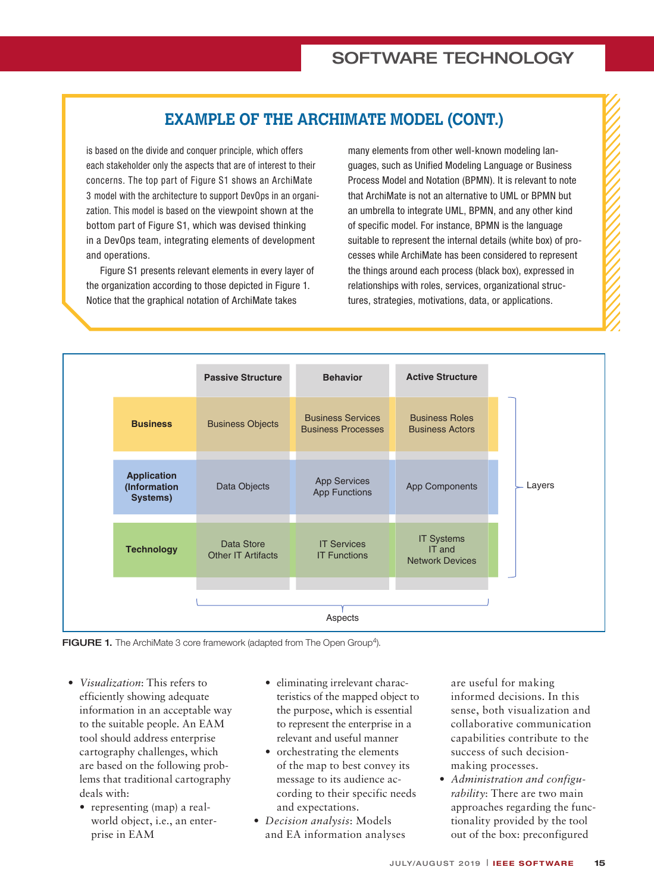# **EXAMPLE OF THE ARCHIMATE MODEL (CONT.)**

is based on the divide and conquer principle, which offers each stakeholder only the aspects that are of interest to their concerns. The top part of Figure S1 shows an ArchiMate 3 model with the architecture to support DevOps in an organization. This model is based on the viewpoint shown at the bottom part of Figure S1, which was devised thinking in a DevOps team, integrating elements of development and operations.

Figure S1 presents relevant elements in every layer of the organization according to those depicted in Figure 1. Notice that the graphical notation of ArchiMate takes

many elements from other well-known modeling languages, such as Unified Modeling Language or Business Process Model and Notation (BPMN). It is relevant to note that ArchiMate is not an alternative to UML or BPMN but an umbrella to integrate UML, BPMN, and any other kind of specific model. For instance, BPMN is the language suitable to represent the internal details (white box) of processes while ArchiMate has been considered to represent the things around each process (black box), expressed in relationships with roles, services, organizational structures, strategies, motivations, data, or applications.



FIGURE 1. The ArchiMate 3 core framework (adapted from The Open Group<sup>4</sup>).

- *Visualization*: This refers to efficiently showing adequate information in an acceptable way to the suitable people. An EAM tool should address enterprise cartography challenges, which are based on the following problems that traditional cartography deals with:
	- representing (map) a realworld object, i.e., an enterprise in EAM
- eliminating irrelevant characteristics of the mapped object to the purpose, which is essential to represent the enterprise in a relevant and useful manner
- orchestrating the elements of the map to best convey its message to its audience according to their specific needs and expectations.
- *Decision analysis*: Models and EA information analyses

are useful for making informed decisions. In this sense, both visualization and collaborative communication capabilities contribute to the success of such decisionmaking processes.

• *Administration and configurability*: There are two main approaches regarding the functionality provided by the tool out of the box: preconfigured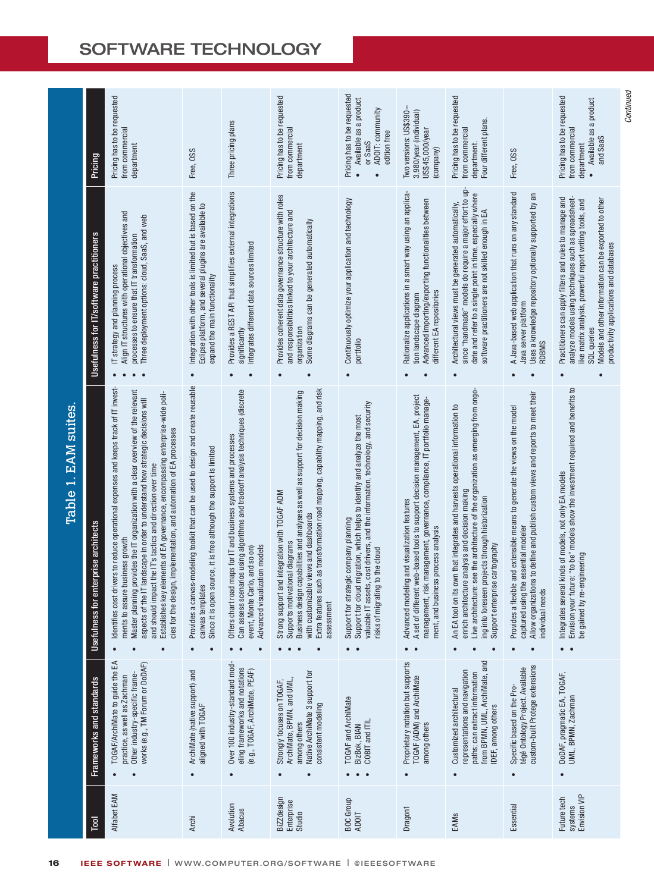# SOFTWARE TECHNOLOGY

|                      | Pricing                                        | Pricing has to be requested<br>from commercial<br>department                                                                                                                                                                                                                                                                                                                                                                                                                                                                           | Free, OSS                                                                                                                                                                                    | Three pricing plans                                                                                                                                                                                                                     | Pricing has to be requested<br>from commercial<br>department                                                                                                                                                                                                                                                    | Pricing has to be requested<br>Available as a product<br>ADOIT: community<br>edition free<br>or SaaS<br>$\bullet$<br>$\bullet$                                                                                                                              | Two versions: US\$390-<br>3,980/year (individual)<br>US\$45,000/year<br>(company)                                                                                                                                                                          | Pricing has to be requested<br>Four different plans.<br>from commercial<br>department                                                                                                                                                                                                                                      | Free, OSS                                                                                                                                                                                                                            | Pricing has to be requested<br>Available as a product<br>from commercial<br>and SaaS<br>department                                                                                                                                                                                                         |
|----------------------|------------------------------------------------|----------------------------------------------------------------------------------------------------------------------------------------------------------------------------------------------------------------------------------------------------------------------------------------------------------------------------------------------------------------------------------------------------------------------------------------------------------------------------------------------------------------------------------------|----------------------------------------------------------------------------------------------------------------------------------------------------------------------------------------------|-----------------------------------------------------------------------------------------------------------------------------------------------------------------------------------------------------------------------------------------|-----------------------------------------------------------------------------------------------------------------------------------------------------------------------------------------------------------------------------------------------------------------------------------------------------------------|-------------------------------------------------------------------------------------------------------------------------------------------------------------------------------------------------------------------------------------------------------------|------------------------------------------------------------------------------------------------------------------------------------------------------------------------------------------------------------------------------------------------------------|----------------------------------------------------------------------------------------------------------------------------------------------------------------------------------------------------------------------------------------------------------------------------------------------------------------------------|--------------------------------------------------------------------------------------------------------------------------------------------------------------------------------------------------------------------------------------|------------------------------------------------------------------------------------------------------------------------------------------------------------------------------------------------------------------------------------------------------------------------------------------------------------|
| Table 1. EAM suites. | Usefulness for IT/software practitioners       | Align IT structures with operational objectives and<br>Three deployment options: cloud, SaaS, and web<br>processes to ensure that IT transformation<br>IT strategy and planning process                                                                                                                                                                                                                                                                                                                                                | Integration with other tools is limited but is based on the<br>Eclipse platform, and several plugins are available to<br>expand the main functionality<br>$\bullet$                          | Provides a REST API that simplifies external integrations<br>Integrates different data sources limited<br>significantly<br>$\bullet$                                                                                                    | Provides coherent data governance structure with roles<br>and responsibilities linked to your architecture and<br>Some diagrams can be generated automatically<br>organization<br>$\bullet$                                                                                                                     | Continuously optimize your application and technology<br>portfolio                                                                                                                                                                                          | Rationalize applications in a smart way using an applica-<br>Advanced importing/exporting functionalities between<br>different EA repositories<br>tion landscape diagram                                                                                   | since "handmade" models do require a major effort to up-<br>date and refer to a single point in time, especially where<br>Architectural views must be generated automatically,<br>software practitioners are not skilled enough in EA                                                                                      | A Java-based web application that runs on any standard<br>Uses a knowledge repository optionally supported by an<br>Java server platform<br>RDBMS<br>$\bullet$                                                                       | Practitioners can apply filters and rules to manage and<br>analyze models using techniques such as spreadsheet-<br>Models and other information can be exported to other<br>ike matrix analysis, powerful report writing tools, and<br>productivity applications and databases<br>SQL queries<br>$\bullet$ |
|                      | for enterprise architects<br><b>Usefulness</b> | cost drivers to reduce operational expenses and keeps track of IT invest-<br>Master planning provides the IT organization with a clear overview of the relevant<br>Establishes key elements of EA governance, encompassing enterprise-wide poli-<br>aspects of the IT landscape in order to understand how strategic decisions will<br>cies for the design, implementation, and automation of EA processes<br>and should impact the IT's tactics and direction over time<br>ments to assure business growth<br>Identifies<br>$\bullet$ | a canvas-modeling toolkit that can be used to design and create reusable<br>Since it is open source, it is free although the support is limited<br>canvas templates<br>Provides<br>$\bullet$ | Can assess scenarios using algorithms and tradeoff analysis techniques (discrete<br>Offers chart road maps for IT and business systems and processes<br>visualization models<br>event, Monte Carlo, and so on)<br>Advancec<br>$\bullet$ | Extra features such as transformation road mapping, capability mapping, and risk<br>Business design capabilities and analyses as well as support for decision making<br>Strong support and integration with TOGAF ADM<br>with customizable views and dashboards<br>Supports motivational diagrams<br>assessment | [assets, cost drivers, and the information, technology, and security<br>Support for cloud migration, which helps to identify and analyze the most<br>Support for strategic company planning<br>igrating to the cloud<br>risks of m<br>valuable<br>$\bullet$ | A set of different web-based tools to support decision management, EA, project<br>management, risk management, governance, compliance, IT portfolio manage-<br>modeling and visualization features<br>ment, and business process analysis<br>Advancec<br>٠ | Live architecture: see the architecture of the organization as emerging from ongo-<br>An EA tool on its own that integrates and harvests operational information to<br>enrich architecture analysis and decision making<br>ing into foreseen projects through historization<br>Support enterprise cartography<br>$\bullet$ | Allow organizations to define and publish custom views and reports to meet their<br>a flexible and extensible means to generate the views on the model<br>using the essential modeler<br>needs<br>individual<br>Provides<br>captured | our future: "to be" models show the investment required and benefits to<br>Integrates several kinds of models, not only EA models<br>by re-engineering<br>Envision y<br>be gained<br>٠<br>$\bullet$                                                                                                        |
|                      | Frameworks and standards                       | TOGAF/ArchiMate to guide the EA<br>works (e.g., TM Forum or DoDAF)<br>Other industry-specific frame-<br>practice, as well as Zachman                                                                                                                                                                                                                                                                                                                                                                                                   | ArchiMate (native support) and<br>aligned with TOGAF<br>$\bullet$                                                                                                                            | Over 100 industry-standard mod-<br>eling frameworks and notations<br>(e.g., TOGAF, ArchiMate, PEAF)<br>$\bullet$                                                                                                                        | Native ArchiMate 3 support for<br>ArchiMate, BPMN, and UML,<br>Strongly focuses on TOGAF,<br>consistent modeling<br>among others<br>$\bullet$                                                                                                                                                                   | TOGAF and ArchiMate<br>COBIT and ITIL<br>BizBok, BIAN<br>$\bullet$                                                                                                                                                                                          | Proprietary notation but supports<br>TOGAF (ADM) and ArchiMate<br>among others<br>$\bullet$                                                                                                                                                                | from BPMN, UML, ArchiMate, and<br>representations and navigation<br>paths; can extract information<br>Customized architectural<br>IDEF, among others<br>$\bullet$                                                                                                                                                          | custom-built Protege extensions<br>tégé Ontology Project. Available<br>Specific based on the Pro-<br>$\bullet$                                                                                                                       | DoDAF, pragmatic EA, TOGAF,<br>UML, BPMN, Zachman<br>$\bullet$                                                                                                                                                                                                                                             |
|                      | ᅙ                                              | Alfabet EAM                                                                                                                                                                                                                                                                                                                                                                                                                                                                                                                            | Archi                                                                                                                                                                                        | Avolution<br><b>Abacus</b>                                                                                                                                                                                                              | <b>BiZZdesign</b><br>Enterprise<br>Studio                                                                                                                                                                                                                                                                       | <b>BOC</b> Group<br><b>ADOIT</b>                                                                                                                                                                                                                            | Dragon1                                                                                                                                                                                                                                                    | EAMs                                                                                                                                                                                                                                                                                                                       | Essential                                                                                                                                                                                                                            | <b>Envision VIP</b><br>Future tech<br>systems                                                                                                                                                                                                                                                              |
| 16                   |                                                | <b>IEEE SOFTWARE</b>   WWW.COMPUTER.ORG/SOFTWARE                                                                                                                                                                                                                                                                                                                                                                                                                                                                                       |                                                                                                                                                                                              |                                                                                                                                                                                                                                         |                                                                                                                                                                                                                                                                                                                 | <b>@IEEESOFTWARE</b>                                                                                                                                                                                                                                        |                                                                                                                                                                                                                                                            |                                                                                                                                                                                                                                                                                                                            |                                                                                                                                                                                                                                      |                                                                                                                                                                                                                                                                                                            |

Continued *Continued*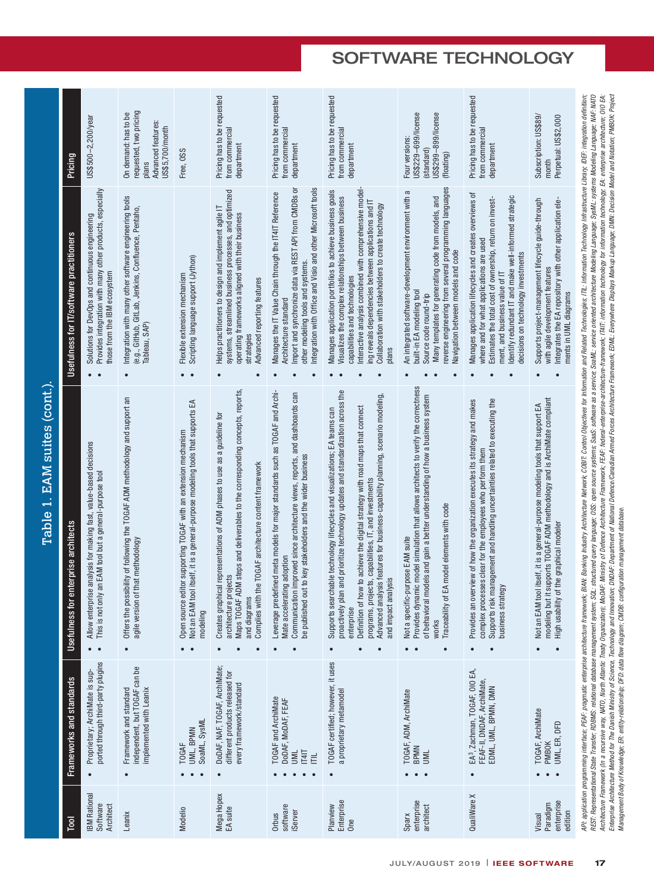|                             | Pricing                                        | $US$500-2,200/year$                                                                                                                          | requested, two pricing<br>On demand: has to be<br>Advanced features:<br>US\$5,700/month<br>plans                                             | Free, OSS                                                                                                                                                      | Pricing has to be requested<br>from commercial<br>department                                                                                                                                                                                                  | Pricing has to be requested<br>from commercial<br>department                                                                                                                                                                                                  | Pricing has to be requested<br>from commercial<br>department                                                                                                                                                                                                                                                                                                                                                                                            | US\$229-699/license<br>US\$299-899/license<br>Four versions:<br>(standard)<br>(floating)                                                                                                                                                                                     | Pricing has to be requested<br>from commercial<br>department                                                                                                                                                                                                                                       | Subscription: US\$89/<br>Perpetual: US\$2,000<br>month                                                                                                                                                                 |
|-----------------------------|------------------------------------------------|----------------------------------------------------------------------------------------------------------------------------------------------|----------------------------------------------------------------------------------------------------------------------------------------------|----------------------------------------------------------------------------------------------------------------------------------------------------------------|---------------------------------------------------------------------------------------------------------------------------------------------------------------------------------------------------------------------------------------------------------------|---------------------------------------------------------------------------------------------------------------------------------------------------------------------------------------------------------------------------------------------------------------|---------------------------------------------------------------------------------------------------------------------------------------------------------------------------------------------------------------------------------------------------------------------------------------------------------------------------------------------------------------------------------------------------------------------------------------------------------|------------------------------------------------------------------------------------------------------------------------------------------------------------------------------------------------------------------------------------------------------------------------------|----------------------------------------------------------------------------------------------------------------------------------------------------------------------------------------------------------------------------------------------------------------------------------------------------|------------------------------------------------------------------------------------------------------------------------------------------------------------------------------------------------------------------------|
|                             | Usefulness for IT/software practitioners       | Provides integration with many other products, especially<br>Solutions for DevOps and continuous engineering<br>those from the IBM ecosystem | Integration with many other software engineering tools<br>(e.g., GitHub, GitLab, Jenkins, Confluence, Pentaho,<br>Tableau, SAP)<br>$\bullet$ | Scripting language support (Jython)<br>Flexible extension mechanism<br>$\bullet$                                                                               | systems, streamlined business processes, and optimized<br>Helps practitioners to design and implement agile IT<br>operating frameworks aligned with their business<br>Advanced reporting features<br>strategies<br>$\bullet$                                  | Import and synchronize data via REST API from CMDBs or<br>Integration with Office and Visio and other Microsoft tools<br>Manages the IT Value Chain through the IT4IT Reference<br>other modeling tools and systems.<br>Architecture standard                 | Interactive analysis combined with comprehensive model-<br>Manages application portfolios to achieve business goals<br>Visualizes the complex relationships between business<br>ing reveals dependencies between applications and IT<br>Collaboration with stakeholders to create technology<br>capabilities and technologies<br>plans                                                                                                                  | reverse engineering from several programming languages<br>An integrated software-development environment with a<br>Many templates for generating code from models, and<br>Navigation between models and code<br>built-in EA modeling tool<br>Source code round-trip          | Manages application lifecycles and creates overviews of<br>Identify redundant IT and make well-informed strategic<br>Estimates the total cost of ownership, return on invest-<br>where and for what applications are used<br>decisions on technology investments<br>ment, and business value of IT | Integrates the EA repository with other application ele-<br>Supports project-management lifecycle guide-through<br>with agile development features<br>ments in UML diagrams                                            |
| Table 1. EAM suites (cont.) | for enterprise architects<br><b>Usefulness</b> | Allow enterprise analysis for making fast, value-based decisions<br>This is not only an EAM tool but a general-purpose tool<br>$\bullet$     | possibility of following the TOGAF ADM methodology and support an<br>ion of that methodology<br>Offers the<br>agile versi<br>$\bullet$       | Not an EAM tool itself, it is a general-purpose modeling tools that supports EA<br>Open source editor supporting TOGAF with an extension mechanism<br>modeling | Maps TOGAF ADM steps and deliverables to the corresponding concepts, reports,<br>Creates graphical representations of ADM phases to use as a guideline for<br>Complies with the TOGAF architecture content framework<br>architecture projects<br>and diagrams | Leverage predefined meta models for major standards such as TOGAF and Archi-<br>Communication improved since architecture views, reports, and dashboards can<br>ed out to key stakeholders and the wider business<br>Mate accelerating adoption<br>be publish | proactively plan and prioritize technology updates and standardization across the<br>analysis features for business-capability planning, scenario modeling,<br>Definition of how to achieve the digital strategy with road maps that connect<br>searchable technology lifecycles and visualizations; EA teams can<br>projects, capabilities, IT, and investments<br>and impact analysis<br>enterprise<br>programs,<br>Advanced<br>Supports<br>$\bullet$ | Provides dynamic model simulation that allows architects to verify the correctness<br>of behavioral models and gain a better understanding of how a business system<br>Traceability of EA model elements with code<br>Not a specific-purpose EAM suite<br>works<br>$\bullet$ | risk management and handling uncertainties related to executing the<br>Provides an overview of how the organization executes its strategy and makes<br>complex processes clear for the employees who perform them<br>Supports risk man<br>business strategy                                        | but it supports TOGAF ADM methodology and is ArchiMate compliant<br>Not an EAM tool itself, it is a general-purpose modeling tools that support EA<br>High usability of the graphical modeler<br>modeling<br>$\bullet$ |
|                             | Frameworks and standards                       | ported through third-party plugins<br>Proprietary; ArchiMate is sup-<br>$\bullet$                                                            | independent, but TOGAF can be<br>Framework and standard<br>implemented with Leanix<br>$\bullet$                                              | SoaML, SysMI<br>UML, BPMN<br><b>TOGAF</b>                                                                                                                      | DoDAF, NAF, TOGAF, ArchiMate;<br>different products released for<br>every framework/standard<br>$\bullet$                                                                                                                                                     | TOGAF and ArchiMate<br>DODAF, MODAF, FEAF<br><b>IL41T</b><br><b>MIN</b><br>Ē                                                                                                                                                                                  | TOGAF certified; however, it uses<br>a proprietary metamodel                                                                                                                                                                                                                                                                                                                                                                                            | TOGAF, ADM, ArchiMate<br><b>BPMN</b><br>M <sub>u</sub>                                                                                                                                                                                                                       | EA <sup>3</sup> , Zachman, TOGAF, OIO EA,<br>FEAF-II, DNDAF, ArchiMate,<br>EDML, UML, BPMN, DMN<br>$\bullet$                                                                                                                                                                                       | TOGAF, ArchiMate<br>UML, ER, DFD<br><b>PMBOK</b>                                                                                                                                                                       |
|                             | ē                                              | <b>BM Rational</b><br>Software<br><b>Architect</b>                                                                                           | Leanix                                                                                                                                       | Modelio                                                                                                                                                        | Mega Hopex<br>EA suite                                                                                                                                                                                                                                        | software<br><b>iServer</b><br><b>Orbus</b>                                                                                                                                                                                                                    | Enterprise<br>Planview<br>One                                                                                                                                                                                                                                                                                                                                                                                                                           | enterprise<br>architect<br>Sparx                                                                                                                                                                                                                                             | QualiWare X                                                                                                                                                                                                                                                                                        | enterprise<br>Paradigm<br>edition<br>Visual                                                                                                                                                                            |

AP: application pogramming interface, PEAF- pragmatic embeptive tenteration factor Banking notifically AP: Application and held are incompled and are ally information problem interface. PEAF- pragmatic entiration tention: API: application protectase; PEAF; pragmatic enterprise arethitecture framework; BBAN: Banking Industriated Discussion to the interprise into material factor interprise integration definition; IDEF: integration definition; REST: Representational State Transfer; RDBMS: relational database management arguering SQL: structured query language; OSS: open source as a service; Scall\_Service; Sarket\_Bening Language; SSNML: systems Modeling Language; Architecture Framework (In a reasy, MATO, North Altantic Treaty Organization); MoDAF: Ministry of Defension Architecture Framework; FEAF: federal-enterprise-architecture framework; TFAT: information technology; En enterpri Enteprise Architecture Method for The Danish Ministry of Science, Technology and Importational Difference/Canadian Armed Forces Architecture Framework; EDML: Everywhere Displays Markup Language; DMN. Decision Model and Not Enteprise Architecture Method for The Danish Ministry of Science, Technology and Importion and Ministry of Experiment of Architecture Forces Architecture Famework, EDML: Everywhere Displays Markup Language; DMN: Decision M Management Body of Knowledge; ER: entity-relationship; DFD: data flow diagram; CMDB: configuration management database. *Management Body of Knowledge; ER: entity-relationship; DFD: data flow diagram; CMDB: configuration management database.*

# SOFTWARE TECHNOLOGY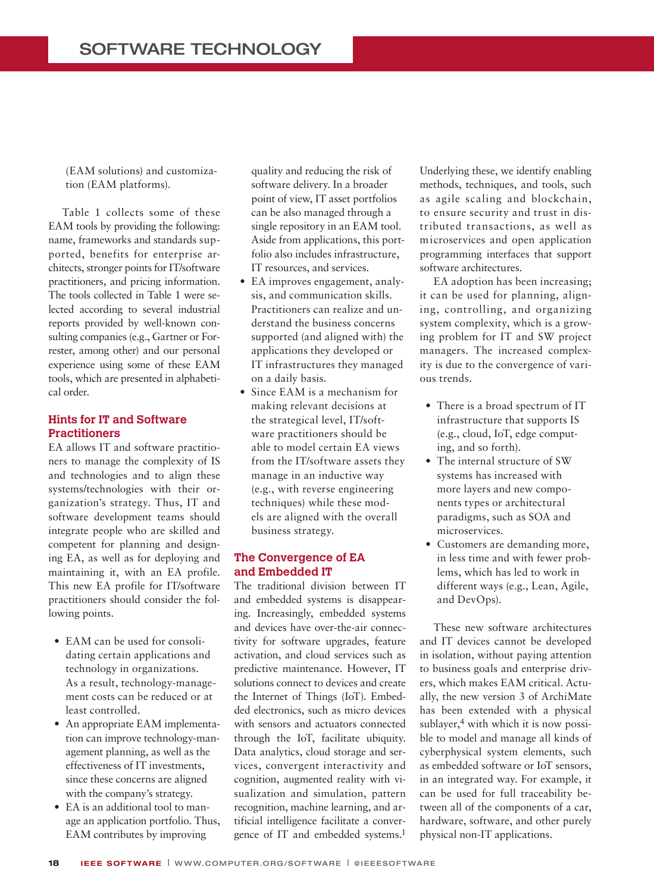(EAM solutions) and customization (EAM platforms).

Table 1 collects some of these EAM tools by providing the following: name, frameworks and standards supported, benefits for enterprise architects, stronger points for IT/software practitioners, and pricing information. The tools collected in Table 1 were selected according to several industrial reports provided by well-known consulting companies (e.g., Gartner or Forrester, among other) and our personal experience using some of these EAM tools, which are presented in alphabetical order.

### **Hints for IT and Software Practitioners**

EA allows IT and software practitioners to manage the complexity of IS and technologies and to align these systems/technologies with their organization's strategy. Thus, IT and software development teams should integrate people who are skilled and competent for planning and designing EA, as well as for deploying and maintaining it, with an EA profile. This new EA profile for IT/software practitioners should consider the following points.

- EAM can be used for consolidating certain applications and technology in organizations. As a result, technology-management costs can be reduced or at least controlled.
- An appropriate EAM implementation can improve technology-management planning, as well as the effectiveness of IT investments, since these concerns are aligned with the company's strategy.
- EA is an additional tool to manage an application portfolio. Thus, EAM contributes by improving

quality and reducing the risk of software delivery. In a broader point of view, IT asset portfolios can be also managed through a single repository in an EAM tool. Aside from applications, this portfolio also includes infrastructure, IT resources, and services.

- EA improves engagement, analysis, and communication skills. Practitioners can realize and understand the business concerns supported (and aligned with) the applications they developed or IT infrastructures they managed on a daily basis.
- Since EAM is a mechanism for making relevant decisions at the strategical level, IT/software practitioners should be able to model certain EA views from the IT/software assets they manage in an inductive way (e.g., with reverse engineering techniques) while these models are aligned with the overall business strategy.

#### **The Convergence of EA and Embedded IT**

The traditional division between IT and embedded systems is disappearing. Increasingly, embedded systems and devices have over-the-air connectivity for software upgrades, feature activation, and cloud services such as predictive maintenance. However, IT solutions connect to devices and create the Internet of Things (IoT). Embedded electronics, such as micro devices with sensors and actuators connected through the IoT, facilitate ubiquity. Data analytics, cloud storage and services, convergent interactivity and cognition, augmented reality with visualization and simulation, pattern recognition, machine learning, and artificial intelligence facilitate a convergence of IT and embedded systems.1

Underlying these, we identify enabling methods, techniques, and tools, such as agile scaling and blockchain, to ensure security and trust in distributed transactions, as well as microservices and open application programming interfaces that support software architectures.

EA adoption has been increasing; it can be used for planning, aligning, controlling, and organizing system complexity, which is a growing problem for IT and SW project managers. The increased complexity is due to the convergence of various trends.

- There is a broad spectrum of IT infrastructure that supports IS (e.g., cloud, IoT, edge computing, and so forth).
- The internal structure of SW systems has increased with more layers and new components types or architectural paradigms, such as SOA and microservices.
- Customers are demanding more, in less time and with fewer problems, which has led to work in different ways (e.g., Lean, Agile, and DevOps).

These new software architectures and IT devices cannot be developed in isolation, without paying attention to business goals and enterprise drivers, which makes EAM critical. Actually, the new version 3 of ArchiMate has been extended with a physical sublayer,<sup>4</sup> with which it is now possible to model and manage all kinds of cyberphysical system elements, such as embedded software or IoT sensors, in an integrated way. For example, it can be used for full traceability between all of the components of a car, hardware, software, and other purely physical non-IT applications.